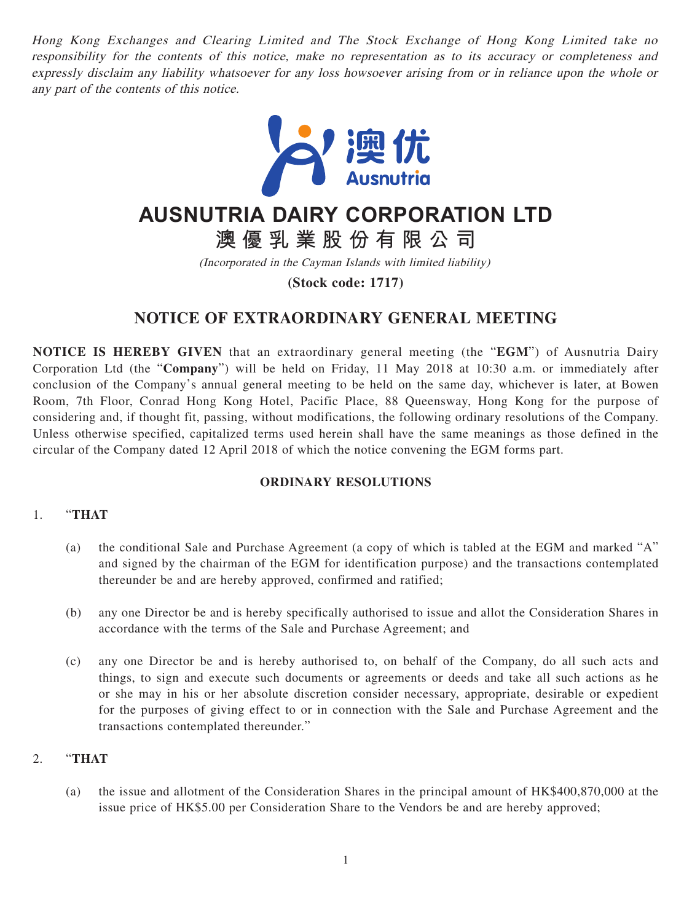Hong Kong Exchanges and Clearing Limited and The Stock Exchange of Hong Kong Limited take no responsibility for the contents of this notice, make no representation as to its accuracy or completeness and expressly disclaim any liability whatsoever for any loss howsoever arising from or in reliance upon the whole or any part of the contents of this notice.



# **AUSNUTRIA DAIRY CORPORATION LTD**

**澳優乳業股份有限公司**

(Incorporated in the Cayman Islands with limited liability)

**(Stock code: 1717)**

# **NOTICE OF EXTRAORDINARY GENERAL MEETING**

**NOTICE IS HEREBY GIVEN** that an extraordinary general meeting (the "**EGM**") of Ausnutria Dairy Corporation Ltd (the "**Company**") will be held on Friday, 11 May 2018 at 10:30 a.m. or immediately after conclusion of the Company's annual general meeting to be held on the same day, whichever is later, at Bowen Room, 7th Floor, Conrad Hong Kong Hotel, Pacific Place, 88 Queensway, Hong Kong for the purpose of considering and, if thought fit, passing, without modifications, the following ordinary resolutions of the Company. Unless otherwise specified, capitalized terms used herein shall have the same meanings as those defined in the circular of the Company dated 12 April 2018 of which the notice convening the EGM forms part.

## **ORDINARY RESOLUTIONS**

#### 1. "**THAT**

- (a) the conditional Sale and Purchase Agreement (a copy of which is tabled at the EGM and marked "A" and signed by the chairman of the EGM for identification purpose) and the transactions contemplated thereunder be and are hereby approved, confirmed and ratified;
- (b) any one Director be and is hereby specifically authorised to issue and allot the Consideration Shares in accordance with the terms of the Sale and Purchase Agreement; and
- (c) any one Director be and is hereby authorised to, on behalf of the Company, do all such acts and things, to sign and execute such documents or agreements or deeds and take all such actions as he or she may in his or her absolute discretion consider necessary, appropriate, desirable or expedient for the purposes of giving effect to or in connection with the Sale and Purchase Agreement and the transactions contemplated thereunder."

#### 2. "**THAT**

(a) the issue and allotment of the Consideration Shares in the principal amount of HK\$400,870,000 at the issue price of HK\$5.00 per Consideration Share to the Vendors be and are hereby approved;